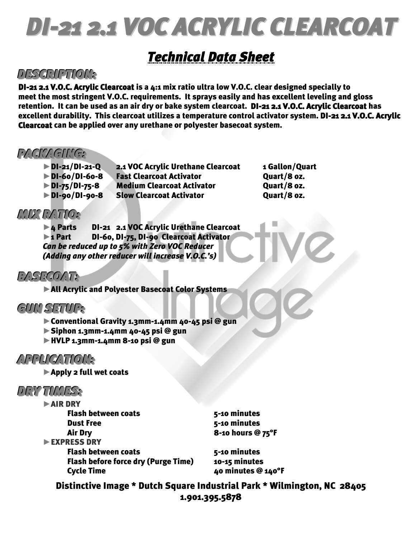# *DI-21 2.1 VOC ACRYLIC CLEARCOAT*

# *Technical Data Sheet*

## *DDEESSCCRRIIPPTTIIOONN::*

DI-21 2.1 V.O.C. Acrylic Clearcoat is a 4:1 mix ratio ultra low V.O.C. clear designed specially to meet the most stringent V.O.C. requirements. It sprays easily and has excellent leveling and gloss retention. It can be used as an air dry or bake system clearcoat. DI-21 2.1 V.O.C. Acrylic Clearcoat has excellent durability. This clearcoat utilizes a temperature control activator system. DI-21 2.1 V.O.C. Acrylic Clearcoat can be applied over any urethane or polyester basecoat system.

### *PPAACCKKAAGGIINNGG::*

| <b>DI-21/DI-21-Q</b> | 2.1 VOC Acrylic Urethane Clearcoat |
|----------------------|------------------------------------|
| <b>DI-60/DI-60-8</b> | <b>Fast Clearcoat Activator</b>    |
| DI-75/DI-75-8        | <b>Medium Clearcoat Activator</b>  |
| DI-90/DI-90-8        | <b>Slow Clearcoat Activator</b>    |

1 Gallon/Quart Quart/8 oz. Quart/8 oz. Ouart/8 oz.

## *MMIIXX RRAATTIIOO::*

►4 Parts DI-21 2.1 VOC Acrylic Urethane Clearcoat ►1 Part DI-60, DI-75, DI-90 Clearcoat Activator *Can be reduced up to 5% with Zero VOC Reducer (Adding any other reducer will increase V.O.C.'s)* 

## *BBAASSEECCOOAATT::*

►All Acrylic and Polyester Basecoat Color Systems

## $GUN$ *SETUP*:

- ►Conventional Gravity 1.3mm-1.4mm 40-45 psi @ gun
- $\triangleright$  Siphon 1.3mm-1.4mm 40-45 psi @ gun
- ►HVLP 1.3mm-1.4mm 8-10 psi @ gun

### *AAPPPPLLIICCAATTIIOONN::*

►Apply 2 full wet coats

### *DDRRYY TTIIMMEESS::*

| AIR DRY                                    |                    |
|--------------------------------------------|--------------------|
| <b>Flash between coats</b>                 | 5-10 minutes       |
| <b>Dust Free</b>                           | 5-10 minutes       |
| <b>Air Dry</b>                             | 8-10 hours @ 75°F  |
| EXPRESS DRY                                |                    |
| <b>Flash between coats</b>                 | 5-10 minutes       |
| <b>Flash before force dry (Purge Time)</b> | 10-15 minutes      |
| <b>Cycle Time</b>                          | 40 minutes @ 140°F |
|                                            |                    |

Distinctive Image \* Dutch Square Industrial Park \* Wilmington, NC 28405 1.901.395.5878